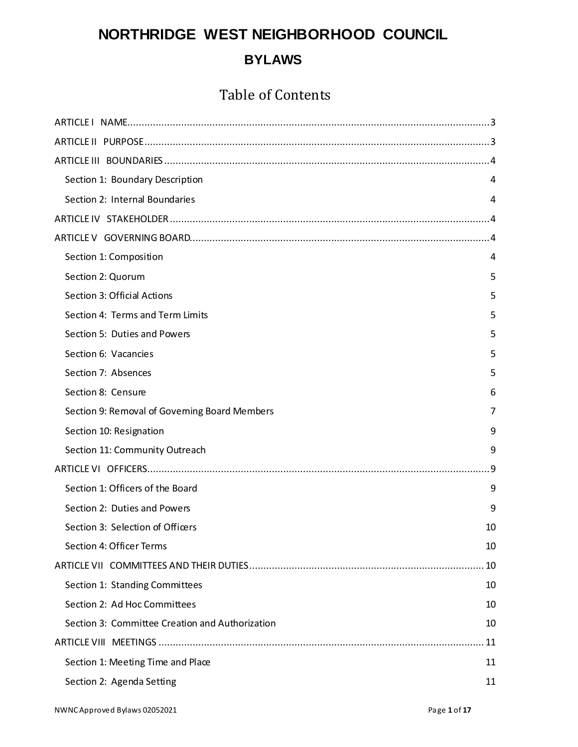# **NORTHRIDGE WEST NEIGHBORHOOD COUNCIL BYLAWS**

## Table of Contents

| Section 1: Boundary Description                 | 4  |
|-------------------------------------------------|----|
| Section 2: Internal Boundaries                  | 4  |
|                                                 |    |
|                                                 |    |
| Section 1: Composition                          | 4  |
| Section 2: Quorum                               | 5  |
| Section 3: Official Actions                     | 5  |
| Section 4: Terms and Term Limits                | 5  |
| Section 5: Duties and Powers                    | 5  |
| Section 6: Vacancies                            | 5  |
| Section 7: Absences                             | 5  |
| Section 8: Censure                              | 6  |
| Section 9: Removal of Governing Board Members   | 7  |
| Section 10: Resignation                         | 9  |
| Section 11: Community Outreach                  | 9  |
|                                                 | .9 |
| Section 1: Officers of the Board                | 9  |
| Section 2: Duties and Powers                    | 9  |
| Section 3: Selection of Officers                | 10 |
| Section 4: Officer Terms                        | 10 |
|                                                 | 10 |
| Section 1: Standing Committees                  | 10 |
| Section 2: Ad Hoc Committees                    | 10 |
| Section 3: Committee Creation and Authorization | 10 |
|                                                 | 11 |
| Section 1: Meeting Time and Place               | 11 |
| Section 2: Agenda Setting                       | 11 |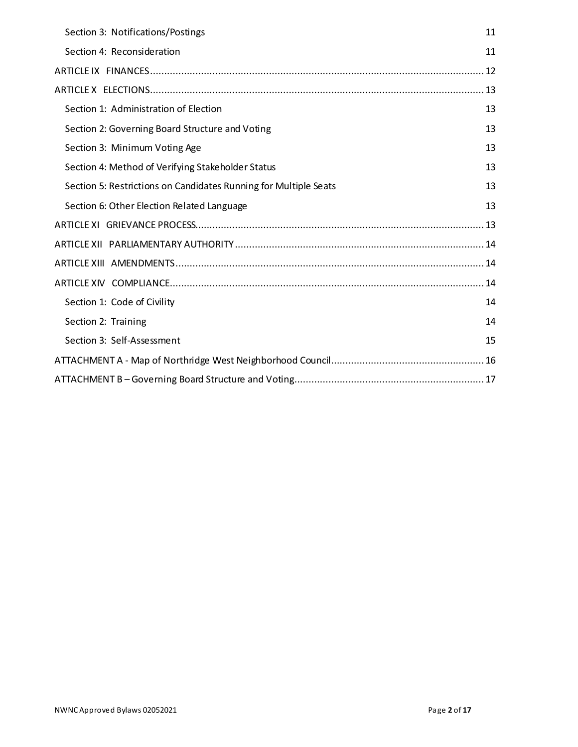| Section 3: Notifications/Postings                                | 11 |
|------------------------------------------------------------------|----|
| Section 4: Reconsideration                                       | 11 |
|                                                                  |    |
|                                                                  |    |
| Section 1: Administration of Election                            | 13 |
| Section 2: Governing Board Structure and Voting                  | 13 |
| Section 3: Minimum Voting Age                                    | 13 |
| Section 4: Method of Verifying Stakeholder Status                | 13 |
| Section 5: Restrictions on Candidates Running for Multiple Seats | 13 |
| Section 6: Other Election Related Language                       | 13 |
|                                                                  |    |
|                                                                  |    |
|                                                                  |    |
|                                                                  |    |
| Section 1: Code of Civility                                      | 14 |
| Section 2: Training                                              | 14 |
| Section 3: Self-Assessment                                       | 15 |
|                                                                  |    |
|                                                                  |    |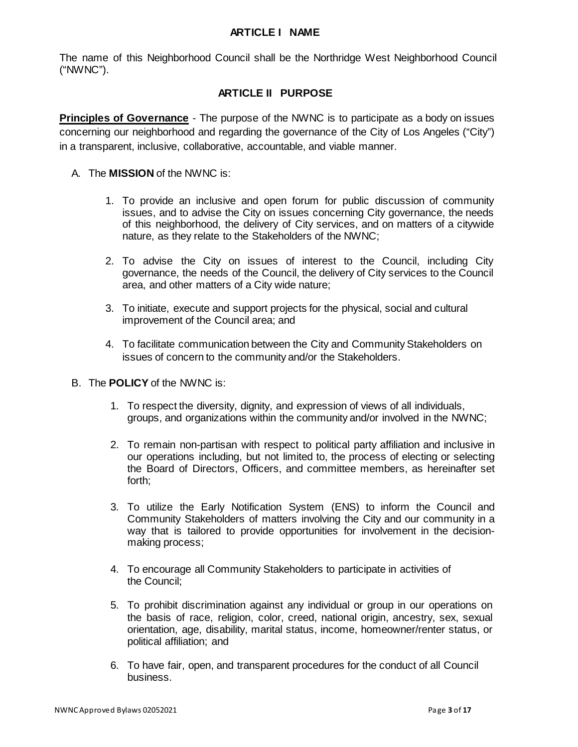#### **ARTICLE I NAME**

<span id="page-2-0"></span>The name of this Neighborhood Council shall be the Northridge West Neighborhood Council ("NWNC").

### **ARTICLE II PURPOSE**

<span id="page-2-1"></span>**Principles of Governance** - The purpose of the NWNC is to participate as a body on issues concerning our neighborhood and regarding the governance of the City of Los Angeles ("City") in a transparent, inclusive, collaborative, accountable, and viable manner.

- A. The **MISSION** of the NWNC is:
	- 1. To provide an inclusive and open forum for public discussion of community issues, and to advise the City on issues concerning City governance, the needs of this neighborhood, the delivery of City services, and on matters of a citywide nature, as they relate to the Stakeholders of the NWNC;
	- 2. To advise the City on issues of interest to the Council, including City governance, the needs of the Council, the delivery of City services to the Council area, and other matters of a City wide nature;
	- 3. To initiate, execute and support projects for the physical, social and cultural improvement of the Council area; and
	- 4. To facilitate communication between the City and Community Stakeholders on issues of concern to the community and/or the Stakeholders.
- B. The **POLICY** of the NWNC is:
	- 1. To respect the diversity, dignity, and expression of views of all individuals, groups, and organizations within the community and/or involved in the NWNC;
	- 2. To remain non-partisan with respect to political party affiliation and inclusive in our operations including, but not limited to, the process of electing or selecting the Board of Directors, Officers, and committee members, as hereinafter set forth;
	- 3. To utilize the Early Notification System (ENS) to inform the Council and Community Stakeholders of matters involving the City and our community in a way that is tailored to provide opportunities for involvement in the decisionmaking process;
	- 4. To encourage all Community Stakeholders to participate in activities of the Council;
	- 5. To prohibit discrimination against any individual or group in our operations on the basis of race, religion, color, creed, national origin, ancestry, sex, sexual orientation, age, disability, marital status, income, homeowner/renter status, or political affiliation; and
	- 6. To have fair, open, and transparent procedures for the conduct of all Council business.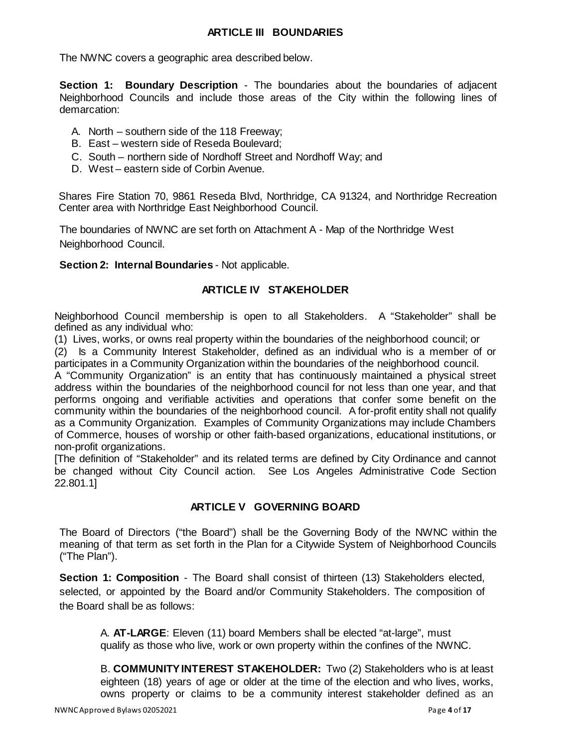#### **ARTICLE III BOUNDARIES**

<span id="page-3-0"></span>The NWNC covers a geographic area described below.

<span id="page-3-1"></span>**Section 1: Boundary Description** - The boundaries about the boundaries of adjacent Neighborhood Councils and include those areas of the City within the following lines of demarcation:

- A. North southern side of the 118 Freeway;
- B. East western side of Reseda Boulevard;
- C. South northern side of Nordhoff Street and Nordhoff Way; and
- D. West eastern side of Corbin Avenue.

Shares Fire Station 70, 9861 Reseda Blvd, Northridge, CA 91324, and Northridge Recreation Center area with Northridge East Neighborhood Council.

The boundaries of NWNC are set forth on Attachment A - Map of the Northridge West Neighborhood Council.

<span id="page-3-3"></span><span id="page-3-2"></span>**Section 2: Internal Boundaries** - Not applicable.

#### **ARTICLE IV STAKEHOLDER**

Neighborhood Council membership is open to all Stakeholders. A "Stakeholder" shall be defined as any individual who:

(1) Lives, works, or owns real property within the boundaries of the neighborhood council; or

(2) Is a Community Interest Stakeholder, defined as an individual who is a member of or participates in a Community Organization within the boundaries of the neighborhood council.

A "Community Organization" is an entity that has continuously maintained a physical street address within the boundaries of the neighborhood council for not less than one year, and that performs ongoing and verifiable activities and operations that confer some benefit on the community within the boundaries of the neighborhood council. A for-profit entity shall not qualify as a Community Organization. Examples of Community Organizations may include Chambers of Commerce, houses of worship or other faith-based organizations, educational institutions, or non-profit organizations.

[The definition of "Stakeholder" and its related terms are defined by City Ordinance and cannot be changed without City Council action. See Los Angeles Administrative Code Section 22.801.1]

#### **ARTICLE V GOVERNING BOARD**

<span id="page-3-4"></span>The Board of Directors ("the Board") shall be the Governing Body of the NWNC within the meaning of that term as set forth in the Plan for a Citywide System of Neighborhood Councils ("The Plan").

<span id="page-3-5"></span>**Section 1: Composition** - The Board shall consist of thirteen (13) Stakeholders elected, selected, or appointed by the Board and/or Community Stakeholders. The composition of the Board shall be as follows:

A. **AT-LARGE**: Eleven (11) board Members shall be elected "at-large", must qualify as those who live, work or own property within the confines of the NWNC.

B. **COMMUNITY INTEREST STAKEHOLDER:** Two (2) Stakeholders who is at least eighteen (18) years of age or older at the time of the election and who lives, works, owns property or claims to be a community interest stakeholder defined as an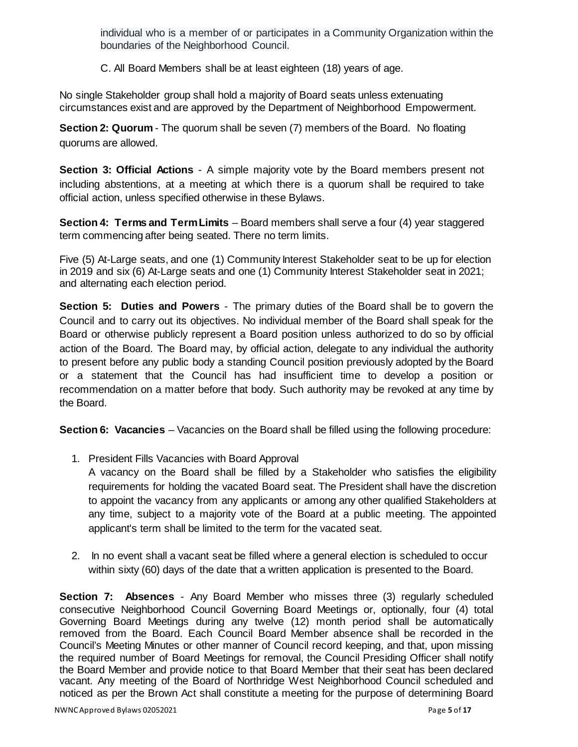individual who is a member of or participates in a Community Organization within the boundaries of the Neighborhood Council.

C. All Board Members shall be at least eighteen (18) years of age.

No single Stakeholder group shall hold a majority of Board seats unless extenuating circumstances exist and are approved by the Department of Neighborhood Empowerment.

<span id="page-4-0"></span>**Section 2: Quorum** - The quorum shall be seven (7) members of the Board. No floating quorums are allowed.

<span id="page-4-1"></span>**Section 3: Official Actions** - A simple majority vote by the Board members present not including abstentions, at a meeting at which there is a quorum shall be required to take official action, unless specified otherwise in these Bylaws.

<span id="page-4-2"></span>**Section 4: Terms and Term Limits** – Board members shall serve a four (4) year staggered term commencing after being seated. There no term limits.

Five (5) At-Large seats, and one (1) Community Interest Stakeholder seat to be up for election in 2019 and six (6) At-Large seats and one (1) Community Interest Stakeholder seat in 2021; and alternating each election period.

<span id="page-4-3"></span>**Section 5: Duties and Powers** - The primary duties of the Board shall be to govern the Council and to carry out its objectives. No individual member of the Board shall speak for the Board or otherwise publicly represent a Board position unless authorized to do so by official action of the Board. The Board may, by official action, delegate to any individual the authority to present before any public body a standing Council position previously adopted by the Board or a statement that the Council has had insufficient time to develop a position or recommendation on a matter before that body. Such authority may be revoked at any time by the Board.

<span id="page-4-4"></span>**Section 6: Vacancies** – Vacancies on the Board shall be filled using the following procedure:

1. President Fills Vacancies with Board Approval

A vacancy on the Board shall be filled by a Stakeholder who satisfies the eligibility requirements for holding the vacated Board seat. The President shall have the discretion to appoint the vacancy from any applicants or among any other qualified Stakeholders at any time, subject to a majority vote of the Board at a public meeting. The appointed applicant's term shall be limited to the term for the vacated seat.

2. In no event shall a vacant seat be filled where a general election is scheduled to occur within sixty (60) days of the date that a written application is presented to the Board.

<span id="page-4-5"></span>**Section 7: Absences** - Any Board Member who misses three (3) regularly scheduled consecutive Neighborhood Council Governing Board Meetings or, optionally, four (4) total Governing Board Meetings during any twelve (12) month period shall be automatically removed from the Board. Each Council Board Member absence shall be recorded in the Council's Meeting Minutes or other manner of Council record keeping, and that, upon missing the required number of Board Meetings for removal, the Council Presiding Officer shall notify the Board Member and provide notice to that Board Member that their seat has been declared vacant. Any meeting of the Board of Northridge West Neighborhood Council scheduled and noticed as per the Brown Act shall constitute a meeting for the purpose of determining Board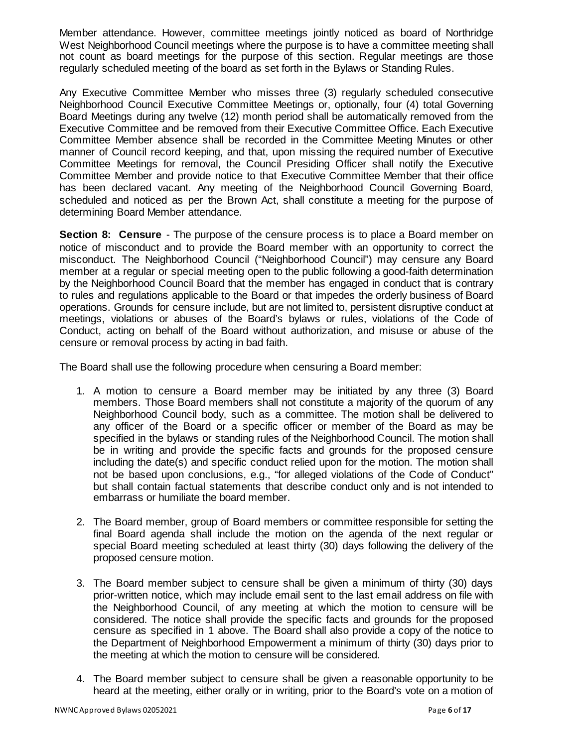Member attendance. However, committee meetings jointly noticed as board of Northridge West Neighborhood Council meetings where the purpose is to have a committee meeting shall not count as board meetings for the purpose of this section. Regular meetings are those regularly scheduled meeting of the board as set forth in the Bylaws or Standing Rules.

Any Executive Committee Member who misses three (3) regularly scheduled consecutive Neighborhood Council Executive Committee Meetings or, optionally, four (4) total Governing Board Meetings during any twelve (12) month period shall be automatically removed from the Executive Committee and be removed from their Executive Committee Office. Each Executive Committee Member absence shall be recorded in the Committee Meeting Minutes or other manner of Council record keeping, and that, upon missing the required number of Executive Committee Meetings for removal, the Council Presiding Officer shall notify the Executive Committee Member and provide notice to that Executive Committee Member that their office has been declared vacant. Any meeting of the Neighborhood Council Governing Board, scheduled and noticed as per the Brown Act, shall constitute a meeting for the purpose of determining Board Member attendance.

<span id="page-5-0"></span>**Section 8: Censure** - The purpose of the censure process is to place a Board member on notice of misconduct and to provide the Board member with an opportunity to correct the misconduct. The Neighborhood Council ("Neighborhood Council") may censure any Board member at a regular or special meeting open to the public following a good-faith determination by the Neighborhood Council Board that the member has engaged in conduct that is contrary to rules and regulations applicable to the Board or that impedes the orderly business of Board operations. Grounds for censure include, but are not limited to, persistent disruptive conduct at meetings, violations or abuses of the Board's bylaws or rules, violations of the Code of Conduct, acting on behalf of the Board without authorization, and misuse or abuse of the censure or removal process by acting in bad faith.

The Board shall use the following procedure when censuring a Board member:

- 1. A motion to censure a Board member may be initiated by any three (3) Board members. Those Board members shall not constitute a majority of the quorum of any Neighborhood Council body, such as a committee. The motion shall be delivered to any officer of the Board or a specific officer or member of the Board as may be specified in the bylaws or standing rules of the Neighborhood Council. The motion shall be in writing and provide the specific facts and grounds for the proposed censure including the date(s) and specific conduct relied upon for the motion. The motion shall not be based upon conclusions, e.g., "for alleged violations of the Code of Conduct" but shall contain factual statements that describe conduct only and is not intended to embarrass or humiliate the board member.
- 2. The Board member, group of Board members or committee responsible for setting the final Board agenda shall include the motion on the agenda of the next regular or special Board meeting scheduled at least thirty (30) days following the delivery of the proposed censure motion.
- 3. The Board member subject to censure shall be given a minimum of thirty (30) days prior-written notice, which may include email sent to the last email address on file with the Neighborhood Council, of any meeting at which the motion to censure will be considered. The notice shall provide the specific facts and grounds for the proposed censure as specified in 1 above. The Board shall also provide a copy of the notice to the Department of Neighborhood Empowerment a minimum of thirty (30) days prior to the meeting at which the motion to censure will be considered.
- 4. The Board member subject to censure shall be given a reasonable opportunity to be heard at the meeting, either orally or in writing, prior to the Board's vote on a motion of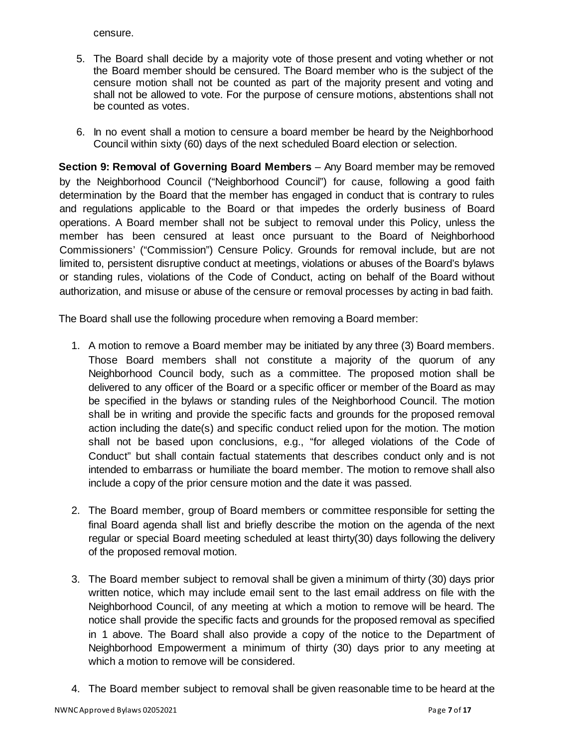censure.

- 5. The Board shall decide by a majority vote of those present and voting whether or not the Board member should be censured. The Board member who is the subject of the censure motion shall not be counted as part of the majority present and voting and shall not be allowed to vote. For the purpose of censure motions, abstentions shall not be counted as votes.
- 6. In no event shall a motion to censure a board member be heard by the Neighborhood Council within sixty (60) days of the next scheduled Board election or selection.

<span id="page-6-0"></span>**Section 9: Removal of Governing Board Members** – Any Board member may be removed by the Neighborhood Council ("Neighborhood Council") for cause, following a good faith determination by the Board that the member has engaged in conduct that is contrary to rules and regulations applicable to the Board or that impedes the orderly business of Board operations. A Board member shall not be subject to removal under this Policy, unless the member has been censured at least once pursuant to the Board of Neighborhood Commissioners' ("Commission") Censure Policy. Grounds for removal include, but are not limited to, persistent disruptive conduct at meetings, violations or abuses of the Board's bylaws or standing rules, violations of the Code of Conduct, acting on behalf of the Board without authorization, and misuse or abuse of the censure or removal processes by acting in bad faith.

The Board shall use the following procedure when removing a Board member:

- 1. A motion to remove a Board member may be initiated by any three (3) Board members. Those Board members shall not constitute a majority of the quorum of any Neighborhood Council body, such as a committee. The proposed motion shall be delivered to any officer of the Board or a specific officer or member of the Board as may be specified in the bylaws or standing rules of the Neighborhood Council. The motion shall be in writing and provide the specific facts and grounds for the proposed removal action including the date(s) and specific conduct relied upon for the motion. The motion shall not be based upon conclusions, e.g., "for alleged violations of the Code of Conduct" but shall contain factual statements that describes conduct only and is not intended to embarrass or humiliate the board member. The motion to remove shall also include a copy of the prior censure motion and the date it was passed.
- 2. The Board member, group of Board members or committee responsible for setting the final Board agenda shall list and briefly describe the motion on the agenda of the next regular or special Board meeting scheduled at least thirty(30) days following the delivery of the proposed removal motion.
- 3. The Board member subject to removal shall be given a minimum of thirty (30) days prior written notice, which may include email sent to the last email address on file with the Neighborhood Council, of any meeting at which a motion to remove will be heard. The notice shall provide the specific facts and grounds for the proposed removal as specified in 1 above. The Board shall also provide a copy of the notice to the Department of Neighborhood Empowerment a minimum of thirty (30) days prior to any meeting at which a motion to remove will be considered.
- 4. The Board member subject to removal shall be given reasonable time to be heard at the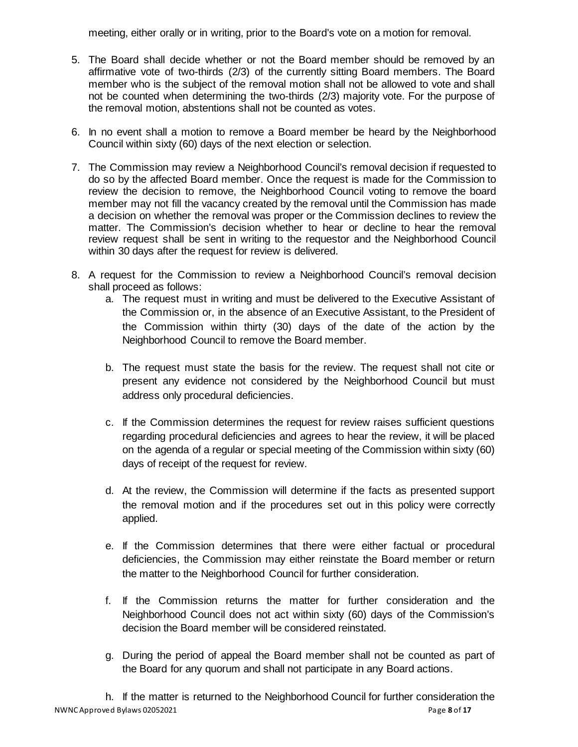meeting, either orally or in writing, prior to the Board's vote on a motion for removal.

- 5. The Board shall decide whether or not the Board member should be removed by an affirmative vote of two-thirds (2/3) of the currently sitting Board members. The Board member who is the subject of the removal motion shall not be allowed to vote and shall not be counted when determining the two-thirds (2/3) majority vote. For the purpose of the removal motion, abstentions shall not be counted as votes.
- 6. In no event shall a motion to remove a Board member be heard by the Neighborhood Council within sixty (60) days of the next election or selection.
- 7. The Commission may review a Neighborhood Council's removal decision if requested to do so by the affected Board member. Once the request is made for the Commission to review the decision to remove, the Neighborhood Council voting to remove the board member may not fill the vacancy created by the removal until the Commission has made a decision on whether the removal was proper or the Commission declines to review the matter. The Commission's decision whether to hear or decline to hear the removal review request shall be sent in writing to the requestor and the Neighborhood Council within 30 days after the request for review is delivered.
- 8. A request for the Commission to review a Neighborhood Council's removal decision shall proceed as follows:
	- a. The request must in writing and must be delivered to the Executive Assistant of the Commission or, in the absence of an Executive Assistant, to the President of the Commission within thirty (30) days of the date of the action by the Neighborhood Council to remove the Board member.
	- b. The request must state the basis for the review. The request shall not cite or present any evidence not considered by the Neighborhood Council but must address only procedural deficiencies.
	- c. If the Commission determines the request for review raises sufficient questions regarding procedural deficiencies and agrees to hear the review, it will be placed on the agenda of a regular or special meeting of the Commission within sixty (60) days of receipt of the request for review.
	- d. At the review, the Commission will determine if the facts as presented support the removal motion and if the procedures set out in this policy were correctly applied.
	- e. If the Commission determines that there were either factual or procedural deficiencies, the Commission may either reinstate the Board member or return the matter to the Neighborhood Council for further consideration.
	- f. If the Commission returns the matter for further consideration and the Neighborhood Council does not act within sixty (60) days of the Commission's decision the Board member will be considered reinstated.
	- g. During the period of appeal the Board member shall not be counted as part of the Board for any quorum and shall not participate in any Board actions.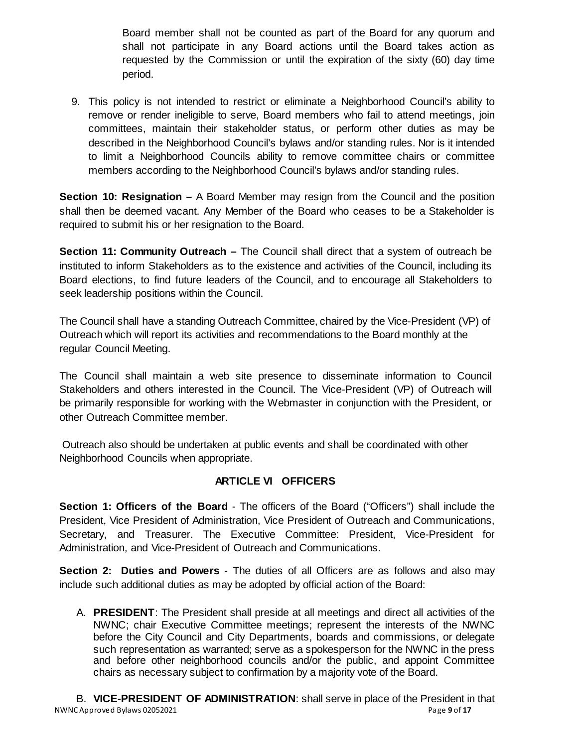Board member shall not be counted as part of the Board for any quorum and shall not participate in any Board actions until the Board takes action as requested by the Commission or until the expiration of the sixty (60) day time period.

9. This policy is not intended to restrict or eliminate a Neighborhood Council's ability to remove or render ineligible to serve, Board members who fail to attend meetings, join committees, maintain their stakeholder status, or perform other duties as may be described in the Neighborhood Council's bylaws and/or standing rules. Nor is it intended to limit a Neighborhood Councils ability to remove committee chairs or committee members according to the Neighborhood Council's bylaws and/or standing rules.

<span id="page-8-0"></span>**Section 10: Resignation –** A Board Member may resign from the Council and the position shall then be deemed vacant. Any Member of the Board who ceases to be a Stakeholder is required to submit his or her resignation to the Board.

<span id="page-8-1"></span>**Section 11: Community Outreach –** The Council shall direct that a system of outreach be instituted to inform Stakeholders as to the existence and activities of the Council, including its Board elections, to find future leaders of the Council, and to encourage all Stakeholders to seek leadership positions within the Council.

The Council shall have a standing Outreach Committee, chaired by the Vice-President (VP) of Outreach which will report its activities and recommendations to the Board monthly at the regular Council Meeting.

The Council shall maintain a web site presence to disseminate information to Council Stakeholders and others interested in the Council. The Vice-President (VP) of Outreach will be primarily responsible for working with the Webmaster in conjunction with the President, or other Outreach Committee member.

Outreach also should be undertaken at public events and shall be coordinated with other Neighborhood Councils when appropriate.

## **ARTICLE VI OFFICERS**

<span id="page-8-3"></span><span id="page-8-2"></span>**Section 1: Officers of the Board** - The officers of the Board ("Officers") shall include the President, Vice President of Administration, Vice President of Outreach and Communications, Secretary, and Treasurer. The Executive Committee: President, Vice-President for Administration, and Vice-President of Outreach and Communications.

<span id="page-8-4"></span>**Section 2: Duties and Powers** - The duties of all Officers are as follows and also may include such additional duties as may be adopted by official action of the Board:

A. **PRESIDENT**: The President shall preside at all meetings and direct all activities of the NWNC; chair Executive Committee meetings; represent the interests of the NWNC before the City Council and City Departments, boards and commissions, or delegate such representation as warranted; serve as a spokesperson for the NWNC in the press and before other neighborhood councils and/or the public, and appoint Committee chairs as necessary subject to confirmation by a majority vote of the Board.

NWNC Approved Bylaws 02052021 **Page 9** of 17 B. **VICE-PRESIDENT OF ADMINISTRATION**: shall serve in place of the President in that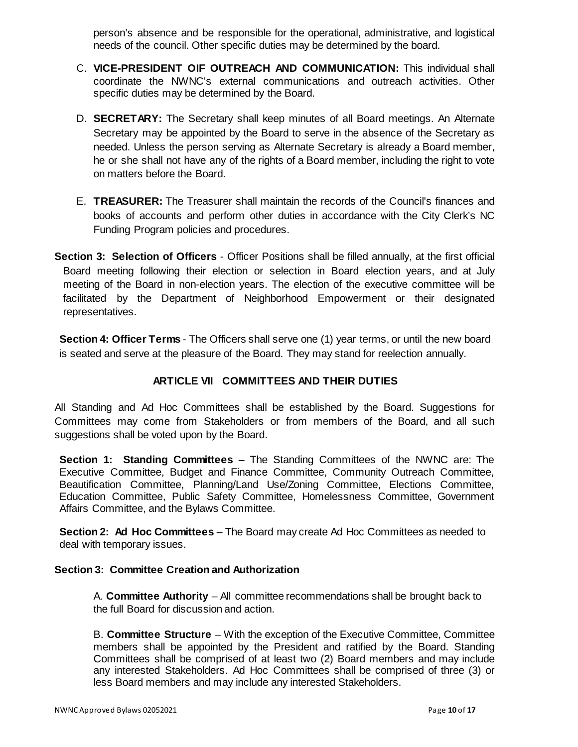person's absence and be responsible for the operational, administrative, and logistical needs of the council. Other specific duties may be determined by the board.

- C. **VICE-PRESIDENT OIF OUTREACH AND COMMUNICATION:** This individual shall coordinate the NWNC's external communications and outreach activities. Other specific duties may be determined by the Board.
- D. **SECRETARY:** The Secretary shall keep minutes of all Board meetings. An Alternate Secretary may be appointed by the Board to serve in the absence of the Secretary as needed. Unless the person serving as Alternate Secretary is already a Board member, he or she shall not have any of the rights of a Board member, including the right to vote on matters before the Board.
- E. **TREASURER:** The Treasurer shall maintain the records of the Council's finances and books of accounts and perform other duties in accordance with the City Clerk's NC Funding Program policies and procedures.
- <span id="page-9-0"></span>**Section 3: Selection of Officers** - Officer Positions shall be filled annually, at the first official Board meeting following their election or selection in Board election years, and at July meeting of the Board in non-election years. The election of the executive committee will be facilitated by the Department of Neighborhood Empowerment or their designated representatives.

<span id="page-9-1"></span>**Section 4: Officer Terms** - The Officers shall serve one (1) year terms, or until the new board is seated and serve at the pleasure of the Board. They may stand for reelection annually.

## **ARTICLE VII COMMITTEES AND THEIR DUTIES**

<span id="page-9-2"></span>All Standing and Ad Hoc Committees shall be established by the Board. Suggestions for Committees may come from Stakeholders or from members of the Board, and all such suggestions shall be voted upon by the Board.

<span id="page-9-3"></span>**Section 1: Standing Committees** – The Standing Committees of the NWNC are: The Executive Committee, Budget and Finance Committee, Community Outreach Committee, Beautification Committee, Planning/Land Use/Zoning Committee, Elections Committee, Education Committee, Public Safety Committee, Homelessness Committee, Government Affairs Committee, and the Bylaws Committee.

<span id="page-9-4"></span>**Section 2: Ad Hoc Committees** – The Board may create Ad Hoc Committees as needed to deal with temporary issues.

#### <span id="page-9-5"></span>**Section 3: Committee Creation and Authorization**

A. **Committee Authority** – All committee recommendations shall be brought back to the full Board for discussion and action.

B. **Committee Structure** – With the exception of the Executive Committee, Committee members shall be appointed by the President and ratified by the Board. Standing Committees shall be comprised of at least two (2) Board members and may include any interested Stakeholders. Ad Hoc Committees shall be comprised of three (3) or less Board members and may include any interested Stakeholders.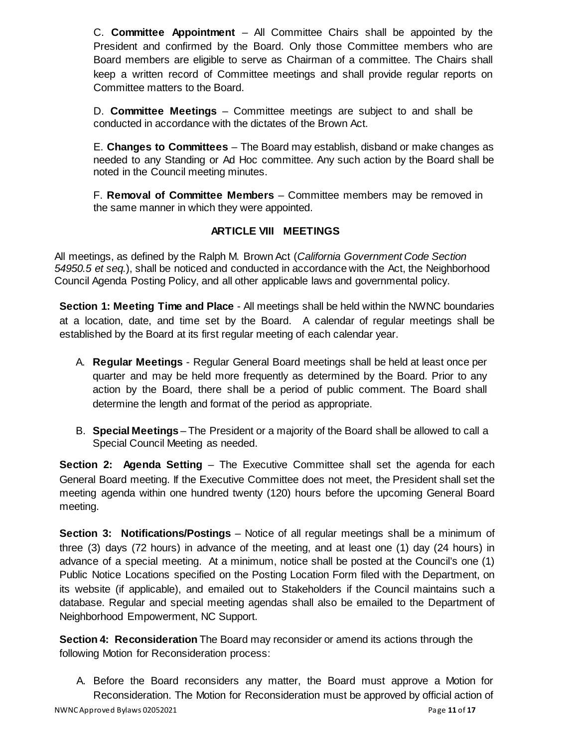C. **Committee Appointment** – All Committee Chairs shall be appointed by the President and confirmed by the Board. Only those Committee members who are Board members are eligible to serve as Chairman of a committee. The Chairs shall keep a written record of Committee meetings and shall provide regular reports on Committee matters to the Board.

D. **Committee Meetings** – Committee meetings are subject to and shall be conducted in accordance with the dictates of the Brown Act.

E. **Changes to Committees** – The Board may establish, disband or make changes as needed to any Standing or Ad Hoc committee. Any such action by the Board shall be noted in the Council meeting minutes.

F. **Removal of Committee Members** – Committee members may be removed in the same manner in which they were appointed.

## **ARTICLE VIII MEETINGS**

<span id="page-10-0"></span>All meetings, as defined by the Ralph M. Brown Act (*California Government Code Section 54950.5 et seq.*), shall be noticed and conducted in accordance with the Act, the Neighborhood Council Agenda Posting Policy, and all other applicable laws and governmental policy.

<span id="page-10-1"></span>**Section 1: Meeting Time and Place** - All meetings shall be held within the NWNC boundaries at a location, date, and time set by the Board. A calendar of regular meetings shall be established by the Board at its first regular meeting of each calendar year.

- A. **Regular Meetings**  Regular General Board meetings shall be held at least once per quarter and may be held more frequently as determined by the Board. Prior to any action by the Board, there shall be a period of public comment. The Board shall determine the length and format of the period as appropriate.
- B. **Special Meetings**  The President or a majority of the Board shall be allowed to call a Special Council Meeting as needed.

<span id="page-10-2"></span>**Section 2: Agenda Setting** – The Executive Committee shall set the agenda for each General Board meeting. If the Executive Committee does not meet, the President shall set the meeting agenda within one hundred twenty (120) hours before the upcoming General Board meeting.

<span id="page-10-3"></span>**Section 3: Notifications/Postings** – Notice of all regular meetings shall be a minimum of three (3) days (72 hours) in advance of the meeting, and at least one (1) day (24 hours) in advance of a special meeting. At a minimum, notice shall be posted at the Council's one (1) Public Notice Locations specified on the Posting Location Form filed with the Department, on its website (if applicable), and emailed out to Stakeholders if the Council maintains such a database. Regular and special meeting agendas shall also be emailed to the Department of Neighborhood Empowerment, NC Support.

<span id="page-10-4"></span>**Section 4: Reconsideration** The Board may reconsider or amend its actions through the following Motion for Reconsideration process:

A. Before the Board reconsiders any matter, the Board must approve a Motion for Reconsideration. The Motion for Reconsideration must be approved by official action of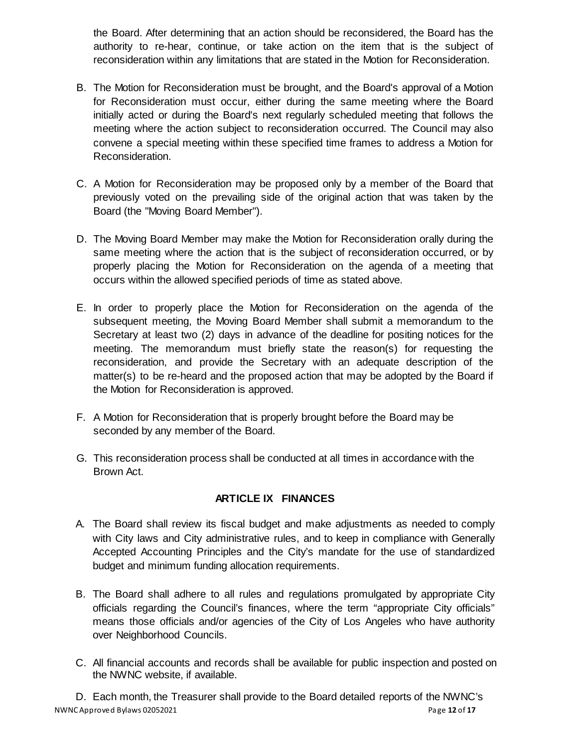the Board. After determining that an action should be reconsidered, the Board has the authority to re-hear, continue, or take action on the item that is the subject of reconsideration within any limitations that are stated in the Motion for Reconsideration.

- B. The Motion for Reconsideration must be brought, and the Board's approval of a Motion for Reconsideration must occur, either during the same meeting where the Board initially acted or during the Board's next regularly scheduled meeting that follows the meeting where the action subject to reconsideration occurred. The Council may also convene a special meeting within these specified time frames to address a Motion for Reconsideration.
- C. A Motion for Reconsideration may be proposed only by a member of the Board that previously voted on the prevailing side of the original action that was taken by the Board (the "Moving Board Member").
- D. The Moving Board Member may make the Motion for Reconsideration orally during the same meeting where the action that is the subject of reconsideration occurred, or by properly placing the Motion for Reconsideration on the agenda of a meeting that occurs within the allowed specified periods of time as stated above.
- E. In order to properly place the Motion for Reconsideration on the agenda of the subsequent meeting, the Moving Board Member shall submit a memorandum to the Secretary at least two (2) days in advance of the deadline for positing notices for the meeting. The memorandum must briefly state the reason(s) for requesting the reconsideration, and provide the Secretary with an adequate description of the matter(s) to be re-heard and the proposed action that may be adopted by the Board if the Motion for Reconsideration is approved.
- F. A Motion for Reconsideration that is properly brought before the Board may be seconded by any member of the Board.
- G. This reconsideration process shall be conducted at all times in accordance with the Brown Act.

## **ARTICLE IX FINANCES**

- <span id="page-11-0"></span>A. The Board shall review its fiscal budget and make adjustments as needed to comply with City laws and City administrative rules, and to keep in compliance with Generally Accepted Accounting Principles and the City's mandate for the use of standardized budget and minimum funding allocation requirements.
- B. The Board shall adhere to all rules and regulations promulgated by appropriate City officials regarding the Council's finances, where the term "appropriate City officials" means those officials and/or agencies of the City of Los Angeles who have authority over Neighborhood Councils.
- C. All financial accounts and records shall be available for public inspection and posted on the NWNC website, if available.

NWNC Approved Bylaws 02052021 **Page 12** of **17 Page 12** of **17** D. Each month, the Treasurer shall provide to the Board detailed reports of the NWNC's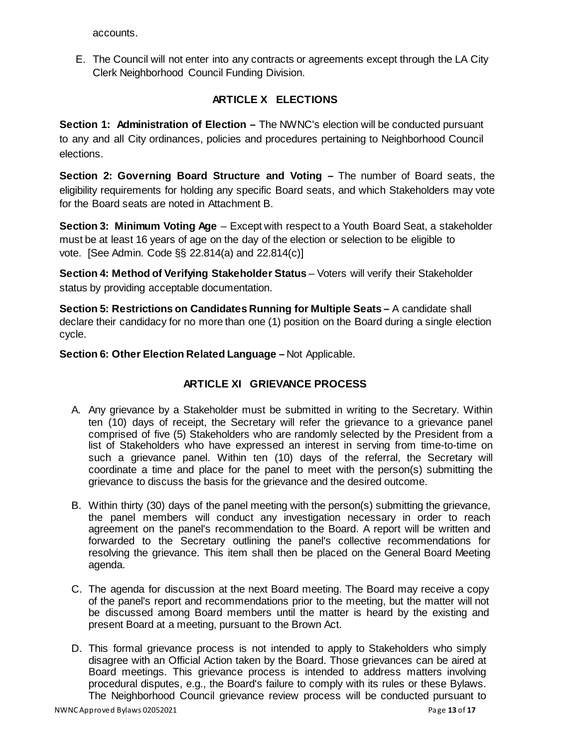accounts.

E. The Council will not enter into any contracts or agreements except through the LA City Clerk Neighborhood Council Funding Division.

## **ARTICLE X ELECTIONS**

<span id="page-12-1"></span><span id="page-12-0"></span>**Section 1: Administration of Election –** The NWNC's election will be conducted pursuant to any and all City ordinances, policies and procedures pertaining to Neighborhood Council elections.

<span id="page-12-2"></span>**Section 2: Governing Board Structure and Voting –** The number of Board seats, the eligibility requirements for holding any specific Board seats, and which Stakeholders may vote for the Board seats are noted in Attachment B.

<span id="page-12-3"></span>**Section 3: Minimum Voting Age** – Except with respect to a Youth Board Seat, a stakeholder must be at least 16 years of age on the day of the election or selection to be eligible to vote. [See Admin. Code §§ 22.814(a) and 22.814(c)]

<span id="page-12-4"></span>**Section 4: Method of Verifying Stakeholder Status** – Voters will verify their Stakeholder status by providing acceptable documentation.

<span id="page-12-5"></span>**Section 5: Restrictions on Candidates Running for Multiple Seats –** A candidate shall declare their candidacy for no more than one (1) position on the Board during a single election cycle.

<span id="page-12-7"></span><span id="page-12-6"></span>**Section 6: Other Election Related Language –** Not Applicable.

## **ARTICLE XI GRIEVANCE PROCESS**

- A. Any grievance by a Stakeholder must be submitted in writing to the Secretary. Within ten (10) days of receipt, the Secretary will refer the grievance to a grievance panel comprised of five (5) Stakeholders who are randomly selected by the President from a list of Stakeholders who have expressed an interest in serving from time-to-time on such a grievance panel. Within ten (10) days of the referral, the Secretary will coordinate a time and place for the panel to meet with the person(s) submitting the grievance to discuss the basis for the grievance and the desired outcome.
- B. Within thirty (30) days of the panel meeting with the person(s) submitting the grievance, the panel members will conduct any investigation necessary in order to reach agreement on the panel's recommendation to the Board. A report will be written and forwarded to the Secretary outlining the panel's collective recommendations for resolving the grievance. This item shall then be placed on the General Board Meeting agenda.
- C. The agenda for discussion at the next Board meeting. The Board may receive a copy of the panel's report and recommendations prior to the meeting, but the matter will not be discussed among Board members until the matter is heard by the existing and present Board at a meeting, pursuant to the Brown Act.
- D. This formal grievance process is not intended to apply to Stakeholders who simply disagree with an Official Action taken by the Board. Those grievances can be aired at Board meetings. This grievance process is intended to address matters involving procedural disputes, e.g., the Board's failure to comply with its rules or these Bylaws. The Neighborhood Council grievance review process will be conducted pursuant to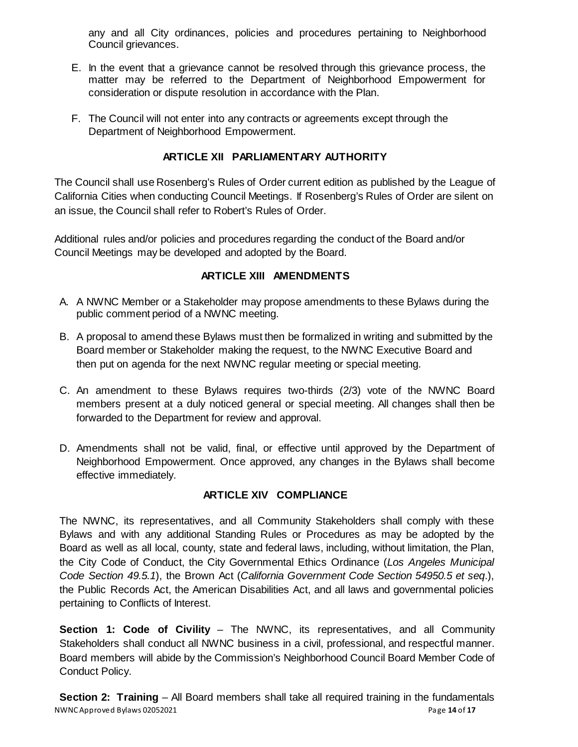any and all City ordinances, policies and procedures pertaining to Neighborhood Council grievances.

- E. In the event that a grievance cannot be resolved through this grievance process, the matter may be referred to the Department of Neighborhood Empowerment for consideration or dispute resolution in accordance with the Plan.
- F. The Council will not enter into any contracts or agreements except through the Department of Neighborhood Empowerment.

## **ARTICLE XII PARLIAMENTARY AUTHORITY**

<span id="page-13-0"></span>The Council shall use Rosenberg's Rules of Order current edition as published by the League of California Cities when conducting Council Meetings. If Rosenberg's Rules of Order are silent on an issue, the Council shall refer to Robert's Rules of Order.

Additional rules and/or policies and procedures regarding the conduct of the Board and/or Council Meetings may be developed and adopted by the Board.

## **ARTICLE XIII AMENDMENTS**

- <span id="page-13-1"></span>A. A NWNC Member or a Stakeholder may propose amendments to these Bylaws during the public comment period of a NWNC meeting.
- B. A proposal to amend these Bylaws must then be formalized in writing and submitted by the Board member or Stakeholder making the request, to the NWNC Executive Board and then put on agenda for the next NWNC regular meeting or special meeting.
- C. An amendment to these Bylaws requires two-thirds (2/3) vote of the NWNC Board members present at a duly noticed general or special meeting. All changes shall then be forwarded to the Department for review and approval.
- D. Amendments shall not be valid, final, or effective until approved by the Department of Neighborhood Empowerment. Once approved, any changes in the Bylaws shall become effective immediately.

## **ARTICLE XIV COMPLIANCE**

<span id="page-13-2"></span>The NWNC, its representatives, and all Community Stakeholders shall comply with these Bylaws and with any additional Standing Rules or Procedures as may be adopted by the Board as well as all local, county, state and federal laws, including, without limitation, the Plan, the City Code of Conduct, the City Governmental Ethics Ordinance (*Los Angeles Municipal Code Section 49.5.1*), the Brown Act (*California Government Code Section 54950.5 et seq*.), the Public Records Act, the American Disabilities Act, and all laws and governmental policies pertaining to Conflicts of Interest.

<span id="page-13-3"></span>**Section 1: Code of Civility** – The NWNC, its representatives, and all Community Stakeholders shall conduct all NWNC business in a civil, professional, and respectful manner. Board members will abide by the Commission's Neighborhood Council Board Member Code of Conduct Policy.

<span id="page-13-4"></span>NWNC Approved Bylaws 02052021 **Page 14** of **17 Page 14** of **17 Section 2: Training** – All Board members shall take all required training in the fundamentals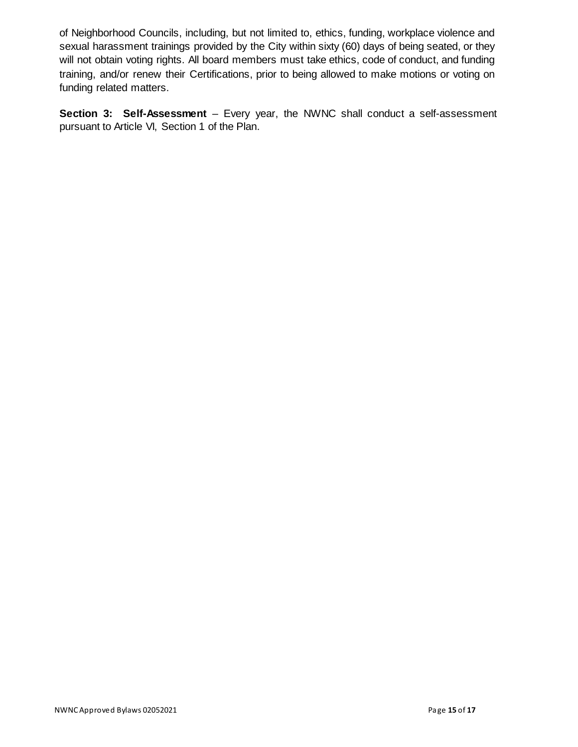of Neighborhood Councils, including, but not limited to, ethics, funding, workplace violence and sexual harassment trainings provided by the City within sixty (60) days of being seated, or they will not obtain voting rights. All board members must take ethics, code of conduct, and funding training, and/or renew their Certifications, prior to being allowed to make motions or voting on funding related matters.

<span id="page-14-0"></span>**Section 3: Self-Assessment** – Every year, the NWNC shall conduct a self-assessment pursuant to Article VI, Section 1 of the Plan.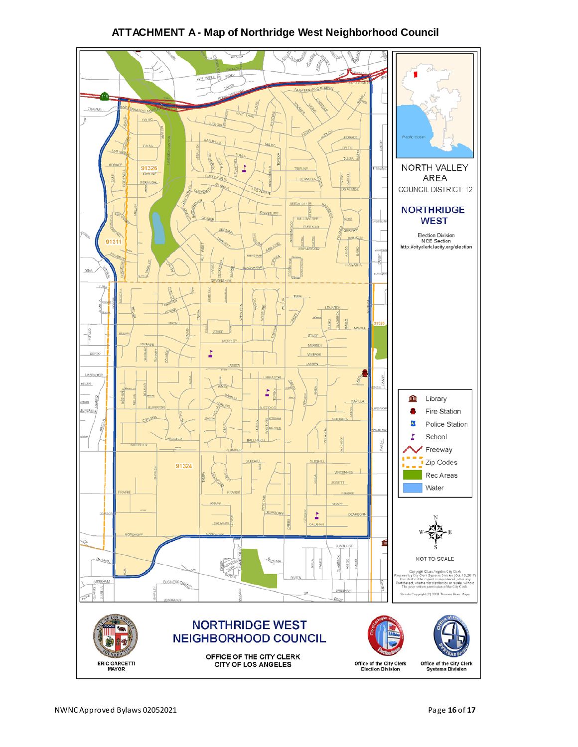<span id="page-15-0"></span>

## **ATTACHMENT A - Map of Northridge West Neighborhood Council**